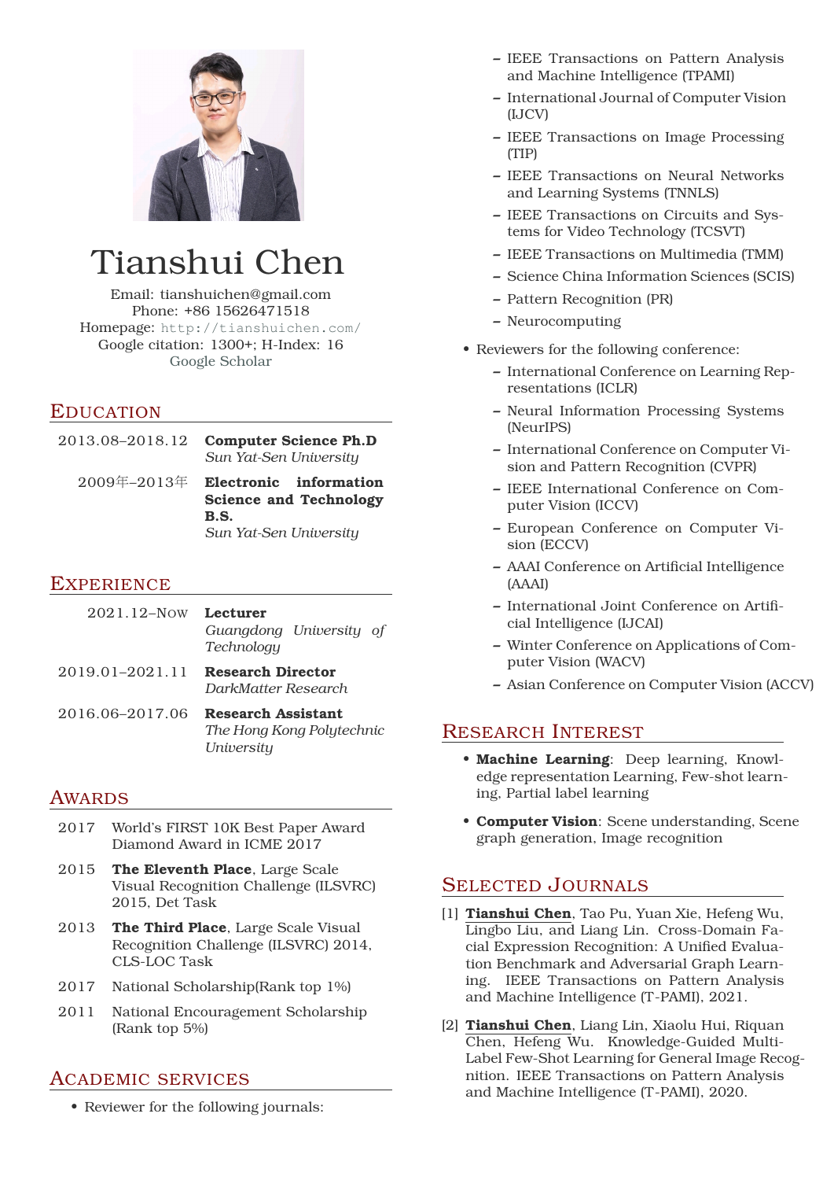

# Tianshui Chen

Email: tianshuichen@gmail.com Phone: +86 15626471518 Homepage: <http://tianshuichen.com/> Google citation: 1300+; H-Index: 16 [Google Scholar](https://scholar.google.com/citations?user=aNvkklMAAAAJ&hl=en)

# EDUCATION

| 2013.08–2018.12 | <b>Computer Science Ph.D</b><br>Sun Yat-Sen University  |
|-----------------|---------------------------------------------------------|
| 2009年–2013年     | Electronic information<br><b>Science and Technology</b> |
|                 | B.S.                                                    |
|                 | Sun Yat-Sen University                                  |

### **EXPERIENCE**

| 2021.12-Now Lecturer                     | Guangdong University of<br>Technology |
|------------------------------------------|---------------------------------------|
| 2019.01-2021.11 <b>Research Director</b> | DarkMatter Research                   |

2016.06–2017.06 **Research Assistant** *The Hong Kong Polytechnic University*

# AWARDS

- 2017 World's FIRST 10K Best Paper Award Diamond Award in ICME 2017
- 2015 **The Eleventh Place**, Large Scale Visual Recognition Challenge (ILSVRC) 2015, Det Task
- 2013 **The Third Place**, Large Scale Visual Recognition Challenge (ILSVRC) 2014, CLS-LOC Task
- 2017 National Scholarship(Rank top 1%)
- 2011 National Encouragement Scholarship (Rank top 5%)

# ACADEMIC SERVICES

• Reviewer for the following journals:

- **–** IEEE Transactions on Pattern Analysis and Machine Intelligence (TPAMI)
- **–** International Journal of Computer Vision (IJCV)
- **–** IEEE Transactions on Image Processing (TIP)
- **–** IEEE Transactions on Neural Networks and Learning Systems (TNNLS)
- **–** IEEE Transactions on Circuits and Systems for Video Technology (TCSVT)
- **–** IEEE Transactions on Multimedia (TMM)
- **–** Science China Information Sciences (SCIS)
- **–** Pattern Recognition (PR)
- **–** Neurocomputing
- Reviewers for the following conference:
	- **–** International Conference on Learning Representations (ICLR)
	- **–** Neural Information Processing Systems (NeurIPS)
	- **–** International Conference on Computer Vision and Pattern Recognition (CVPR)
	- **–** IEEE International Conference on Computer Vision (ICCV)
	- **–** European Conference on Computer Vision (ECCV)
	- **–** AAAI Conference on Artificial Intelligence (AAAI)
	- **–** International Joint Conference on Artificial Intelligence (IJCAI)
	- **–** Winter Conference on Applications of Computer Vision (WACV)
	- **–** Asian Conference on Computer Vision (ACCV)

# RESEARCH INTEREST

- **Machine Learning**: Deep learning, Knowledge representation Learning, Few-shot learning, Partial label learning
- **Computer Vision**: Scene understanding, Scene graph generation, Image recognition

# SELECTED JOURNALS

- [1] **Tianshui Chen**, Tao Pu, Yuan Xie, Hefeng Wu, Lingbo Liu, and Liang Lin. Cross-Domain Facial Expression Recognition: A Unified Evaluation Benchmark and Adversarial Graph Learning. IEEE Transactions on Pattern Analysis and Machine Intelligence (T-PAMI), 2021.
- [2] **Tianshui Chen**, Liang Lin, Xiaolu Hui, Riquan Chen, Hefeng Wu. Knowledge-Guided Multi-Label Few-Shot Learning for General Image Recognition. IEEE Transactions on Pattern Analysis and Machine Intelligence (T-PAMI), 2020.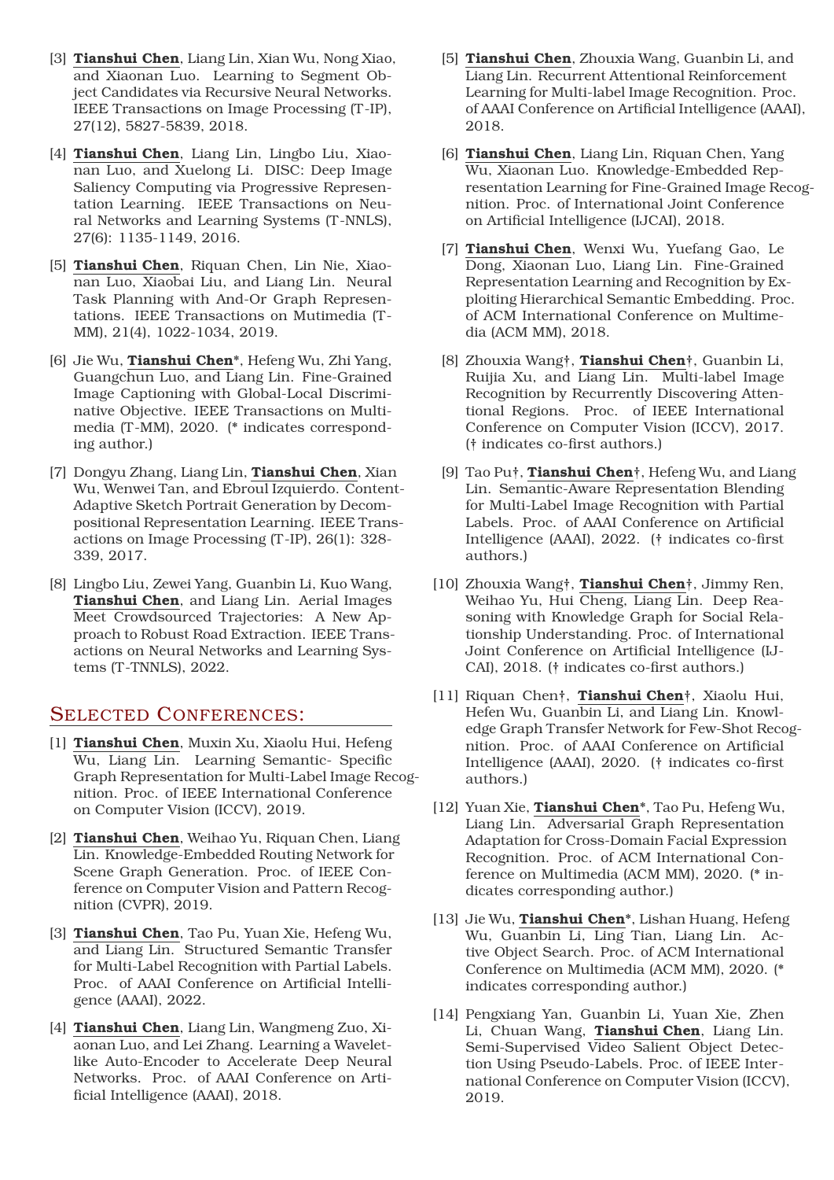- [3] **Tianshui Chen**, Liang Lin, Xian Wu, Nong Xiao, and Xiaonan Luo. Learning to Segment Object Candidates via Recursive Neural Networks. IEEE Transactions on Image Processing (T-IP), 27(12), 5827-5839, 2018.
- [4] **Tianshui Chen**, Liang Lin, Lingbo Liu, Xiaonan Luo, and Xuelong Li. DISC: Deep Image Saliency Computing via Progressive Representation Learning. IEEE Transactions on Neural Networks and Learning Systems (T-NNLS), 27(6): 1135-1149, 2016.
- [5] **Tianshui Chen**, Riquan Chen, Lin Nie, Xiaonan Luo, Xiaobai Liu, and Liang Lin. Neural Task Planning with And-Or Graph Representations. IEEE Transactions on Mutimedia (T-MM), 21(4), 1022-1034, 2019.
- [6] Jie Wu, **Tianshui Chen**\*, Hefeng Wu, Zhi Yang, Guangchun Luo, and Liang Lin. Fine-Grained Image Captioning with Global-Local Discriminative Objective. IEEE Transactions on Multimedia (T-MM), 2020. (\* indicates corresponding author.)
- [7] Dongyu Zhang, Liang Lin, **Tianshui Chen**, Xian Wu, Wenwei Tan, and Ebroul Izquierdo. Content-Adaptive Sketch Portrait Generation by Decompositional Representation Learning. IEEE Transactions on Image Processing (T-IP), 26(1): 328- 339, 2017.
- [8] Lingbo Liu, Zewei Yang, Guanbin Li, Kuo Wang, **Tianshui Chen**, and Liang Lin. Aerial Images Meet Crowdsourced Trajectories: A New Approach to Robust Road Extraction. IEEE Transactions on Neural Networks and Learning Systems (T-TNNLS), 2022.

#### SELECTED CONFERENCES:

- [1] **Tianshui Chen**, Muxin Xu, Xiaolu Hui, Hefeng Wu, Liang Lin. Learning Semantic- Specific Graph Representation for Multi-Label Image Recognition. Proc. of IEEE International Conference on Computer Vision (ICCV), 2019.
- [2] **Tianshui Chen**, Weihao Yu, Riquan Chen, Liang Lin. Knowledge-Embedded Routing Network for Scene Graph Generation. Proc. of IEEE Conference on Computer Vision and Pattern Recognition (CVPR), 2019.
- [3] **Tianshui Chen**, Tao Pu, Yuan Xie, Hefeng Wu, and Liang Lin. Structured Semantic Transfer for Multi-Label Recognition with Partial Labels. Proc. of AAAI Conference on Artificial Intelligence (AAAI), 2022.
- [4] **Tianshui Chen**, Liang Lin, Wangmeng Zuo, Xiaonan Luo, and Lei Zhang. Learning a Waveletlike Auto-Encoder to Accelerate Deep Neural Networks. Proc. of AAAI Conference on Artificial Intelligence (AAAI), 2018.
- [5] **Tianshui Chen**, Zhouxia Wang, Guanbin Li, and Liang Lin. Recurrent Attentional Reinforcement Learning for Multi-label Image Recognition. Proc. of AAAI Conference on Artificial Intelligence (AAAI), 2018.
- [6] **Tianshui Chen**, Liang Lin, Riquan Chen, Yang Wu, Xiaonan Luo. Knowledge-Embedded Representation Learning for Fine-Grained Image Recognition. Proc. of International Joint Conference on Artificial Intelligence (IJCAI), 2018.
- [7] **Tianshui Chen**, Wenxi Wu, Yuefang Gao, Le Dong, Xiaonan Luo, Liang Lin. Fine-Grained Representation Learning and Recognition by Exploiting Hierarchical Semantic Embedding. Proc. of ACM International Conference on Multimedia (ACM MM), 2018.
- [8] Zhouxia Wang†, **Tianshui Chen**†, Guanbin Li, Ruijia Xu, and Liang Lin. Multi-label Image Recognition by Recurrently Discovering Attentional Regions. Proc. of IEEE International Conference on Computer Vision (ICCV), 2017. († indicates co-first authors.)
- [9] Tao Pu†, **Tianshui Chen**†, Hefeng Wu, and Liang Lin. Semantic-Aware Representation Blending for Multi-Label Image Recognition with Partial Labels. Proc. of AAAI Conference on Artificial Intelligence (AAAI), 2022. († indicates co-first authors.)
- [10] Zhouxia Wang†, **Tianshui Chen**†, Jimmy Ren, Weihao Yu, Hui Cheng, Liang Lin. Deep Reasoning with Knowledge Graph for Social Relationship Understanding. Proc. of International Joint Conference on Artificial Intelligence (IJ-CAI), 2018. († indicates co-first authors.)
- [11] Riquan Chen†, **Tianshui Chen**†, Xiaolu Hui, Hefen Wu, Guanbin Li, and Liang Lin. Knowledge Graph Transfer Network for Few-Shot Recognition. Proc. of AAAI Conference on Artificial Intelligence (AAAI), 2020. († indicates co-first authors.)
- [12] Yuan Xie, **Tianshui Chen**\*, Tao Pu, Hefeng Wu, Liang Lin. Adversarial Graph Representation Adaptation for Cross-Domain Facial Expression Recognition. Proc. of ACM International Conference on Multimedia (ACM MM), 2020. (\* indicates corresponding author.)
- [13] Jie Wu, **Tianshui Chen**\*, Lishan Huang, Hefeng Wu, Guanbin Li, Ling Tian, Liang Lin. Active Object Search. Proc. of ACM International Conference on Multimedia (ACM MM), 2020. (\* indicates corresponding author.)
- [14] Pengxiang Yan, Guanbin Li, Yuan Xie, Zhen Li, Chuan Wang, **Tianshui Chen**, Liang Lin. Semi-Supervised Video Salient Object Detection Using Pseudo-Labels. Proc. of IEEE International Conference on Computer Vision (ICCV), 2019.